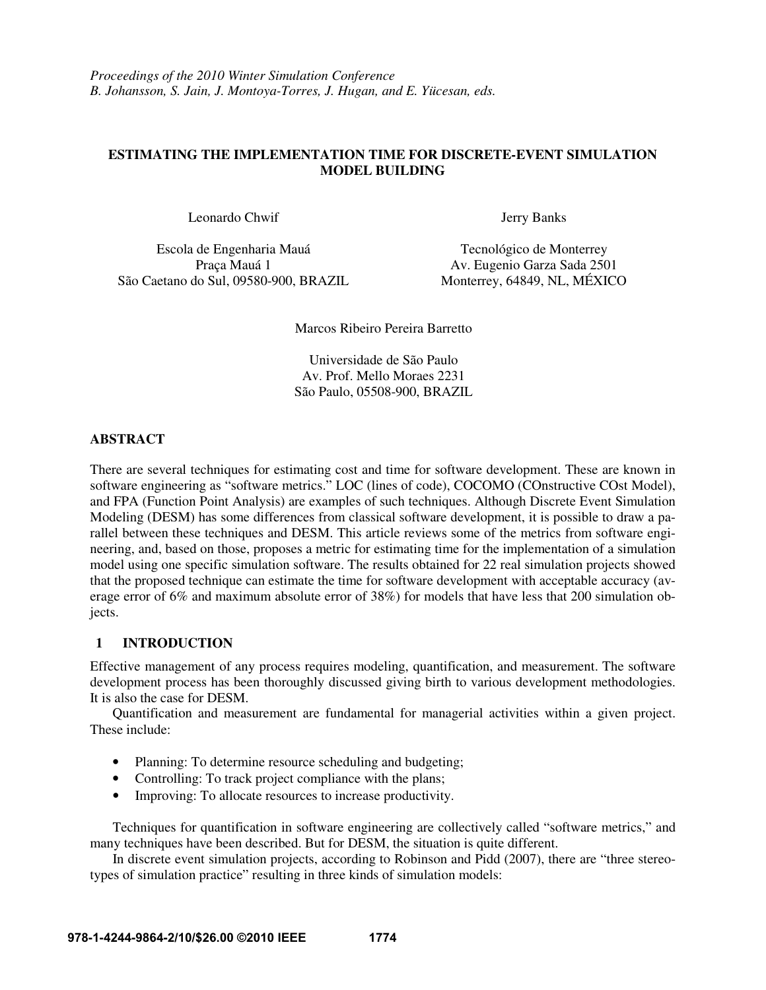## **ESTIMATING THE IMPLEMENTATION TIME FOR DISCRETE-EVENT SIMULATION MODEL BUILDING**

Leonardo Chwif Jerry Banks

Escola de Engenharia Mauá Tecnológico de Monterrey São Caetano do Sul, 09580-900, BRAZIL Monterrey, 64849, NL, MÉXICO

Praça Mauá 1 Av. Eugenio Garza Sada 2501

Marcos Ribeiro Pereira Barretto

Universidade de São Paulo Av. Prof. Mello Moraes 2231 São Paulo, 05508-900, BRAZIL

## **ABSTRACT**

There are several techniques for estimating cost and time for software development. These are known in software engineering as "software metrics." LOC (lines of code), COCOMO (COnstructive COst Model), and FPA (Function Point Analysis) are examples of such techniques. Although Discrete Event Simulation Modeling (DESM) has some differences from classical software development, it is possible to draw a parallel between these techniques and DESM. This article reviews some of the metrics from software engineering, and, based on those, proposes a metric for estimating time for the implementation of a simulation model using one specific simulation software. The results obtained for 22 real simulation projects showed that the proposed technique can estimate the time for software development with acceptable accuracy (average error of 6% and maximum absolute error of 38%) for models that have less that 200 simulation objects.

## **1 INTRODUCTION**

Effective management of any process requires modeling, quantification, and measurement. The software development process has been thoroughly discussed giving birth to various development methodologies. It is also the case for DESM.

Quantification and measurement are fundamental for managerial activities within a given project. These include:

- Planning: To determine resource scheduling and budgeting;
- Controlling: To track project compliance with the plans;
- Improving: To allocate resources to increase productivity.

Techniques for quantification in software engineering are collectively called "software metrics," and many techniques have been described. But for DESM, the situation is quite different.

In discrete event simulation projects, according to Robinson and Pidd (2007), there are "three stereotypes of simulation practice" resulting in three kinds of simulation models: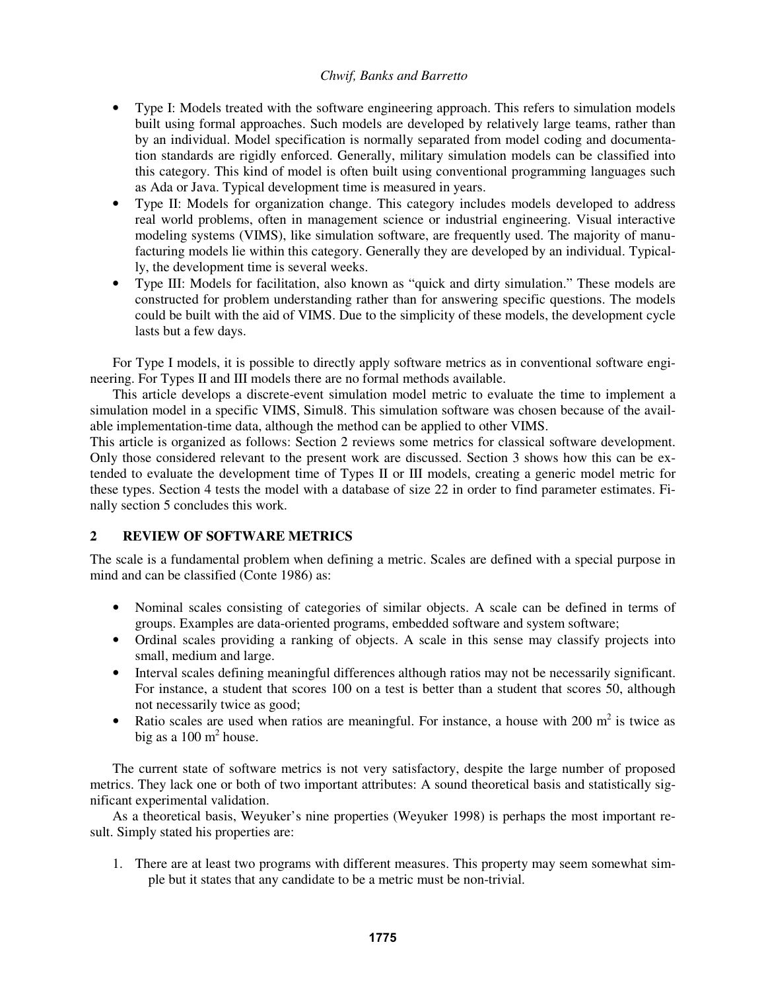- Type I: Models treated with the software engineering approach. This refers to simulation models built using formal approaches. Such models are developed by relatively large teams, rather than by an individual. Model specification is normally separated from model coding and documentation standards are rigidly enforced. Generally, military simulation models can be classified into this category. This kind of model is often built using conventional programming languages such as Ada or Java. Typical development time is measured in years.
- Type II: Models for organization change. This category includes models developed to address real world problems, often in management science or industrial engineering. Visual interactive modeling systems (VIMS), like simulation software, are frequently used. The majority of manufacturing models lie within this category. Generally they are developed by an individual. Typically, the development time is several weeks.
- Type III: Models for facilitation, also known as "quick and dirty simulation." These models are constructed for problem understanding rather than for answering specific questions. The models could be built with the aid of VIMS. Due to the simplicity of these models, the development cycle lasts but a few days.

For Type I models, it is possible to directly apply software metrics as in conventional software engineering. For Types II and III models there are no formal methods available.

This article develops a discrete-event simulation model metric to evaluate the time to implement a simulation model in a specific VIMS, Simul8. This simulation software was chosen because of the available implementation-time data, although the method can be applied to other VIMS.

This article is organized as follows: Section 2 reviews some metrics for classical software development. Only those considered relevant to the present work are discussed. Section 3 shows how this can be extended to evaluate the development time of Types II or III models, creating a generic model metric for these types. Section 4 tests the model with a database of size 22 in order to find parameter estimates. Finally section 5 concludes this work.

# **2 REVIEW OF SOFTWARE METRICS**

The scale is a fundamental problem when defining a metric. Scales are defined with a special purpose in mind and can be classified (Conte 1986) as:

- Nominal scales consisting of categories of similar objects. A scale can be defined in terms of groups. Examples are data-oriented programs, embedded software and system software;
- Ordinal scales providing a ranking of objects. A scale in this sense may classify projects into small, medium and large.
- Interval scales defining meaningful differences although ratios may not be necessarily significant. For instance, a student that scores 100 on a test is better than a student that scores 50, although not necessarily twice as good;
- Ratio scales are used when ratios are meaningful. For instance, a house with  $200 \text{ m}^2$  is twice as big as a  $100 \text{ m}^2$  house.

The current state of software metrics is not very satisfactory, despite the large number of proposed metrics. They lack one or both of two important attributes: A sound theoretical basis and statistically significant experimental validation.

As a theoretical basis, Weyuker's nine properties (Weyuker 1998) is perhaps the most important result. Simply stated his properties are:

1. There are at least two programs with different measures. This property may seem somewhat simple but it states that any candidate to be a metric must be non-trivial.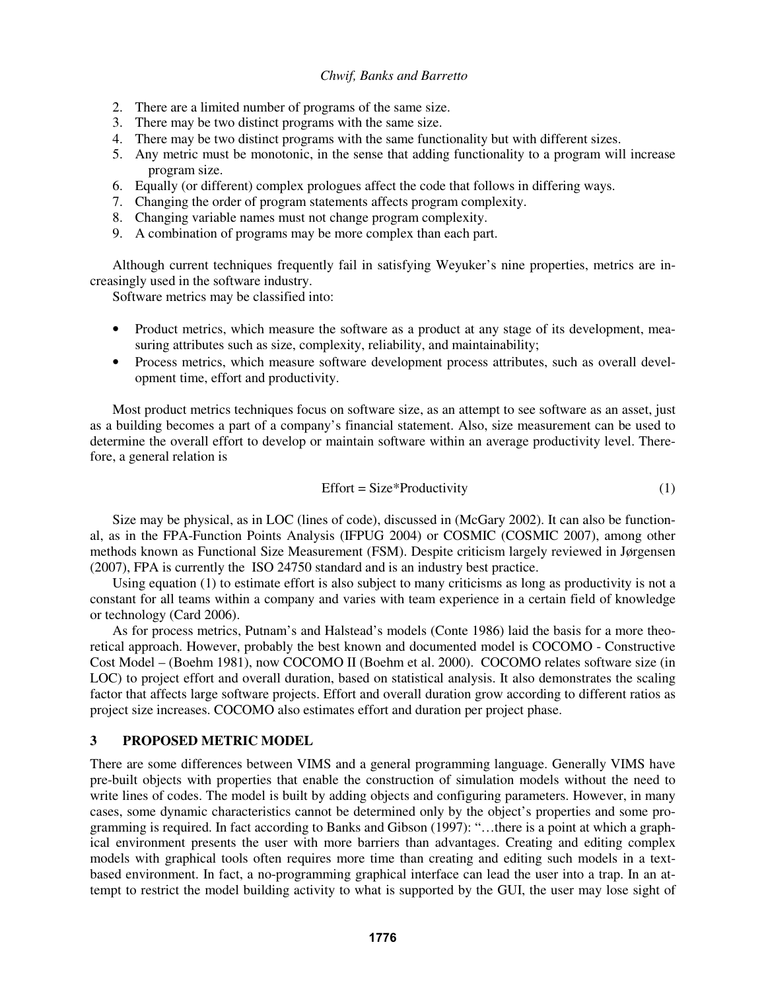- 2. There are a limited number of programs of the same size.
- 3. There may be two distinct programs with the same size.
- 4. There may be two distinct programs with the same functionality but with different sizes.
- 5. Any metric must be monotonic, in the sense that adding functionality to a program will increase program size.
- 6. Equally (or different) complex prologues affect the code that follows in differing ways.
- 7. Changing the order of program statements affects program complexity.
- 8. Changing variable names must not change program complexity.
- 9. A combination of programs may be more complex than each part.

Although current techniques frequently fail in satisfying Weyuker's nine properties, metrics are increasingly used in the software industry.

Software metrics may be classified into:

- Product metrics, which measure the software as a product at any stage of its development, measuring attributes such as size, complexity, reliability, and maintainability;
- Process metrics, which measure software development process attributes, such as overall development time, effort and productivity.

Most product metrics techniques focus on software size, as an attempt to see software as an asset, just as a building becomes a part of a company's financial statement. Also, size measurement can be used to determine the overall effort to develop or maintain software within an average productivity level. Therefore, a general relation is

$$
Effort = Size*Productivity
$$
 (1)

Size may be physical, as in LOC (lines of code), discussed in (McGary 2002). It can also be functional, as in the FPA-Function Points Analysis (IFPUG 2004) or COSMIC (COSMIC 2007), among other methods known as Functional Size Measurement (FSM). Despite criticism largely reviewed in Jørgensen (2007), FPA is currently the ISO 24750 standard and is an industry best practice.

Using equation (1) to estimate effort is also subject to many criticisms as long as productivity is not a constant for all teams within a company and varies with team experience in a certain field of knowledge or technology (Card 2006).

As for process metrics, Putnam's and Halstead's models (Conte 1986) laid the basis for a more theoretical approach. However, probably the best known and documented model is COCOMO - Constructive Cost Model – (Boehm 1981), now COCOMO II (Boehm et al. 2000). COCOMO relates software size (in LOC) to project effort and overall duration, based on statistical analysis. It also demonstrates the scaling factor that affects large software projects. Effort and overall duration grow according to different ratios as project size increases. COCOMO also estimates effort and duration per project phase.

### **3 PROPOSED METRIC MODEL**

There are some differences between VIMS and a general programming language. Generally VIMS have pre-built objects with properties that enable the construction of simulation models without the need to write lines of codes. The model is built by adding objects and configuring parameters. However, in many cases, some dynamic characteristics cannot be determined only by the object's properties and some programming is required. In fact according to Banks and Gibson (1997): "…there is a point at which a graphical environment presents the user with more barriers than advantages. Creating and editing complex models with graphical tools often requires more time than creating and editing such models in a textbased environment. In fact, a no-programming graphical interface can lead the user into a trap. In an attempt to restrict the model building activity to what is supported by the GUI, the user may lose sight of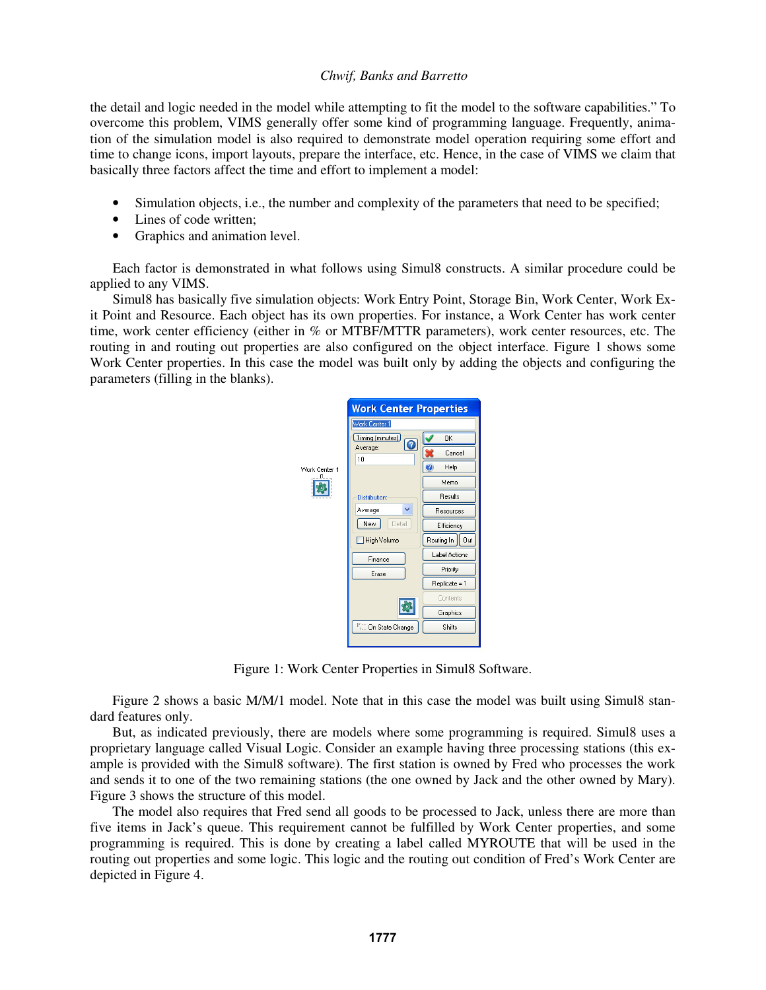the detail and logic needed in the model while attempting to fit the model to the software capabilities." To overcome this problem, VIMS generally offer some kind of programming language. Frequently, animation of the simulation model is also required to demonstrate model operation requiring some effort and time to change icons, import layouts, prepare the interface, etc. Hence, in the case of VIMS we claim that basically three factors affect the time and effort to implement a model:

- Simulation objects, i.e., the number and complexity of the parameters that need to be specified;
- Lines of code written;
- Graphics and animation level.

Each factor is demonstrated in what follows using Simul8 constructs. A similar procedure could be applied to any VIMS.

Simul8 has basically five simulation objects: Work Entry Point, Storage Bin, Work Center, Work Exit Point and Resource. Each object has its own properties. For instance, a Work Center has work center time, work center efficiency (either in % or MTBF/MTTR parameters), work center resources, etc. The routing in and routing out properties are also configured on the object interface. Figure 1 shows some Work Center properties. In this case the model was built only by adding the objects and configuring the parameters (filling in the blanks).



Figure 1: Work Center Properties in Simul8 Software.

Figure 2 shows a basic M/M/1 model. Note that in this case the model was built using Simul8 standard features only.

But, as indicated previously, there are models where some programming is required. Simul8 uses a proprietary language called Visual Logic. Consider an example having three processing stations (this example is provided with the Simul8 software). The first station is owned by Fred who processes the work and sends it to one of the two remaining stations (the one owned by Jack and the other owned by Mary). Figure 3 shows the structure of this model.

The model also requires that Fred send all goods to be processed to Jack, unless there are more than five items in Jack's queue. This requirement cannot be fulfilled by Work Center properties, and some programming is required. This is done by creating a label called MYROUTE that will be used in the routing out properties and some logic. This logic and the routing out condition of Fred's Work Center are depicted in Figure 4.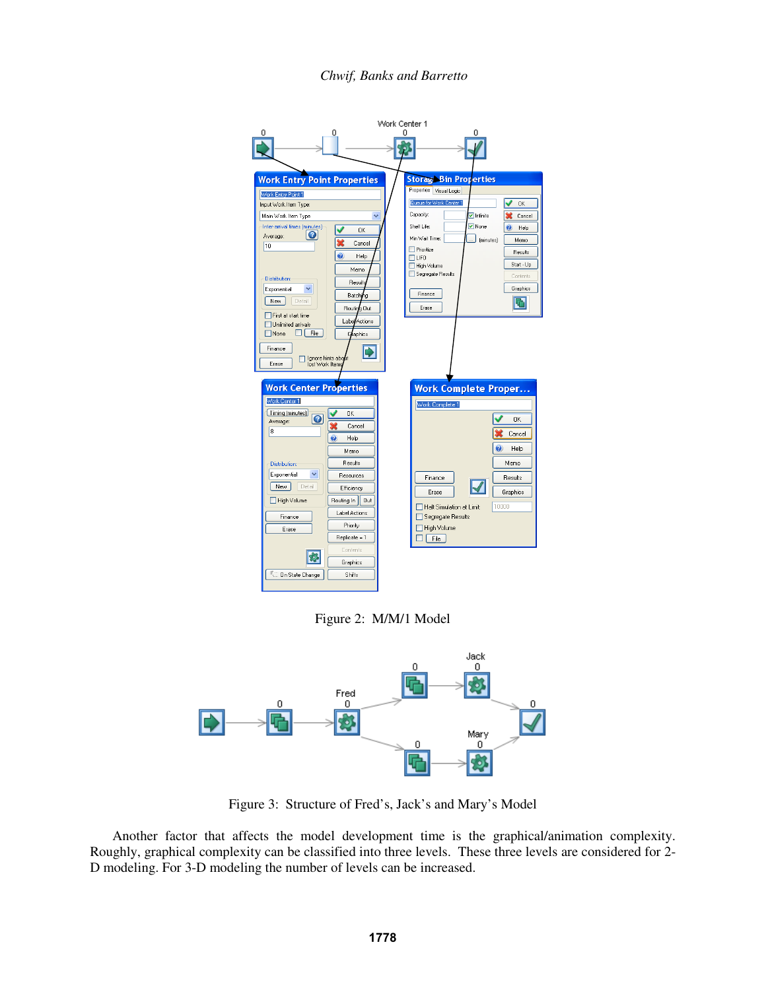

Figure 2: M/M/1 Model



Figure 3: Structure of Fred's, Jack's and Mary's Model

Another factor that affects the model development time is the graphical/animation complexity. Roughly, graphical complexity can be classified into three levels. These three levels are considered for 2- D modeling. For 3-D modeling the number of levels can be increased.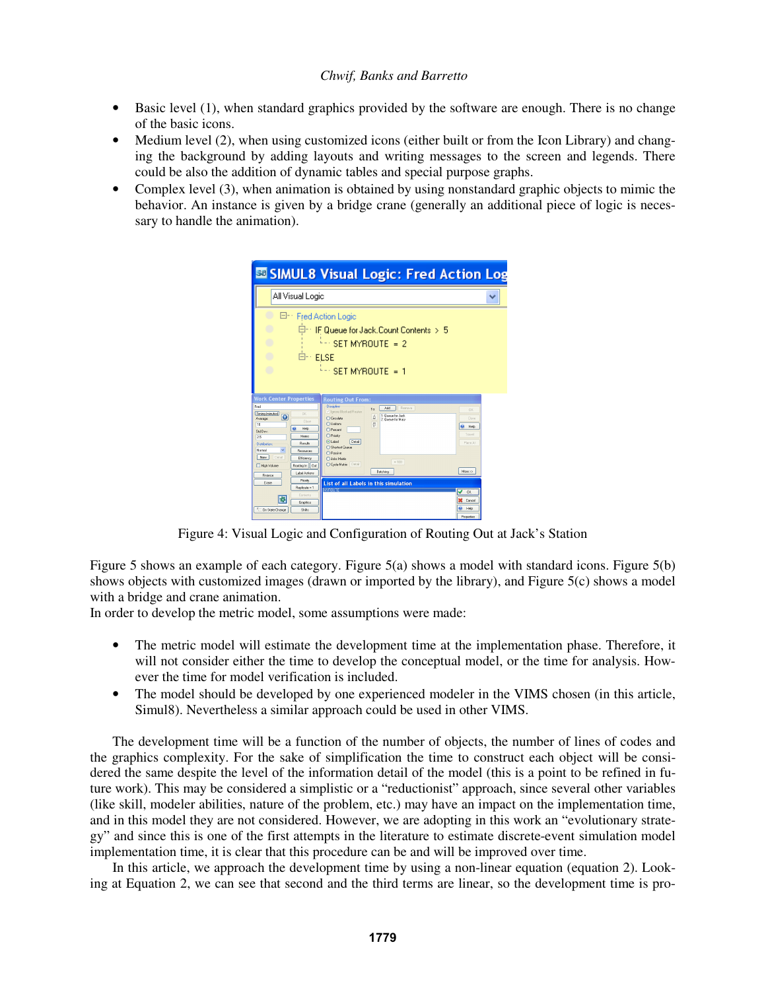- Basic level (1), when standard graphics provided by the software are enough. There is no change of the basic icons.
- Medium level (2), when using customized icons (either built or from the Icon Library) and changing the background by adding layouts and writing messages to the screen and legends. There could be also the addition of dynamic tables and special purpose graphs.
- Complex level (3), when animation is obtained by using nonstandard graphic objects to mimic the behavior. An instance is given by a bridge crane (generally an additional piece of logic is necessary to handle the animation).

|                                                                                                                                                                   |                                                                                                                 | <b>SIMUL8 Visual Logic: Fred Action Log</b>                                                                                                                                                                                                                                                                                                                          |                                                  |  |  |  |  |
|-------------------------------------------------------------------------------------------------------------------------------------------------------------------|-----------------------------------------------------------------------------------------------------------------|----------------------------------------------------------------------------------------------------------------------------------------------------------------------------------------------------------------------------------------------------------------------------------------------------------------------------------------------------------------------|--------------------------------------------------|--|--|--|--|
| All Visual Logic                                                                                                                                                  |                                                                                                                 |                                                                                                                                                                                                                                                                                                                                                                      |                                                  |  |  |  |  |
|                                                                                                                                                                   | EI-HELSE                                                                                                        | 日一 Fred Action Logic<br>$\boxdot$ : IF Queue for Jack.Count Contents $>5$<br>$-$ SET MYROUTE = 2<br>$-$ SET MYROUTE = 1                                                                                                                                                                                                                                              |                                                  |  |  |  |  |
| <b>Work Center Properties</b><br>Fred<br>Timing (minutes)<br>o<br>Average:<br>10<br>Std Dev:<br>25<br>Distribution<br>Normal<br>v<br>Detail<br>New<br>High Volume | nx<br><b>Close</b><br>$\omega$<br>Help<br>Memo<br>Reside<br>Resources<br>Efficiency<br>Routing In<br><b>Out</b> | <b>Routing Out From:</b><br>Discipline<br>Add<br><b>Bencve</b><br>To:<br>V Ignore Blocked Routes<br>1: Queue for Jack<br>ś<br>C Circulate<br>2: Queue for Mary<br><b>O</b> Uniform<br>$\sigma$<br>$\omega$<br><b>O</b> Percent<br>O Priority<br>$\odot$ Label<br>Detail<br>Shortest Queue<br><b>O</b> Passive<br>O Jobs Mattix<br>$=100$<br>O Cucle Matrix<br>Detail | <b>FK</b><br>Eldon<br>Help<br>Travel<br>Place At |  |  |  |  |
| Finance<br>Erase<br>鄧<br><b>On State Change</b>                                                                                                                   | Label Actions<br>Priority<br>Replicate = 1<br>Contents<br>Graphins<br>Shifts                                    | Batching<br>List of all Labels in this simulation<br><b>MYROUTE</b>                                                                                                                                                                                                                                                                                                  | More >><br>nĸ.<br>Cancel<br>Help<br>Properties   |  |  |  |  |

Figure 4: Visual Logic and Configuration of Routing Out at Jack's Station

Figure 5 shows an example of each category. Figure 5(a) shows a model with standard icons. Figure 5(b) shows objects with customized images (drawn or imported by the library), and Figure 5(c) shows a model with a bridge and crane animation.

In order to develop the metric model, some assumptions were made:

- The metric model will estimate the development time at the implementation phase. Therefore, it will not consider either the time to develop the conceptual model, or the time for analysis. However the time for model verification is included.
- The model should be developed by one experienced modeler in the VIMS chosen (in this article, Simul8). Nevertheless a similar approach could be used in other VIMS.

The development time will be a function of the number of objects, the number of lines of codes and the graphics complexity. For the sake of simplification the time to construct each object will be considered the same despite the level of the information detail of the model (this is a point to be refined in future work). This may be considered a simplistic or a "reductionist" approach, since several other variables (like skill, modeler abilities, nature of the problem, etc.) may have an impact on the implementation time, and in this model they are not considered. However, we are adopting in this work an "evolutionary strategy" and since this is one of the first attempts in the literature to estimate discrete-event simulation model implementation time, it is clear that this procedure can be and will be improved over time.

In this article, we approach the development time by using a non-linear equation (equation 2). Looking at Equation 2, we can see that second and the third terms are linear, so the development time is pro-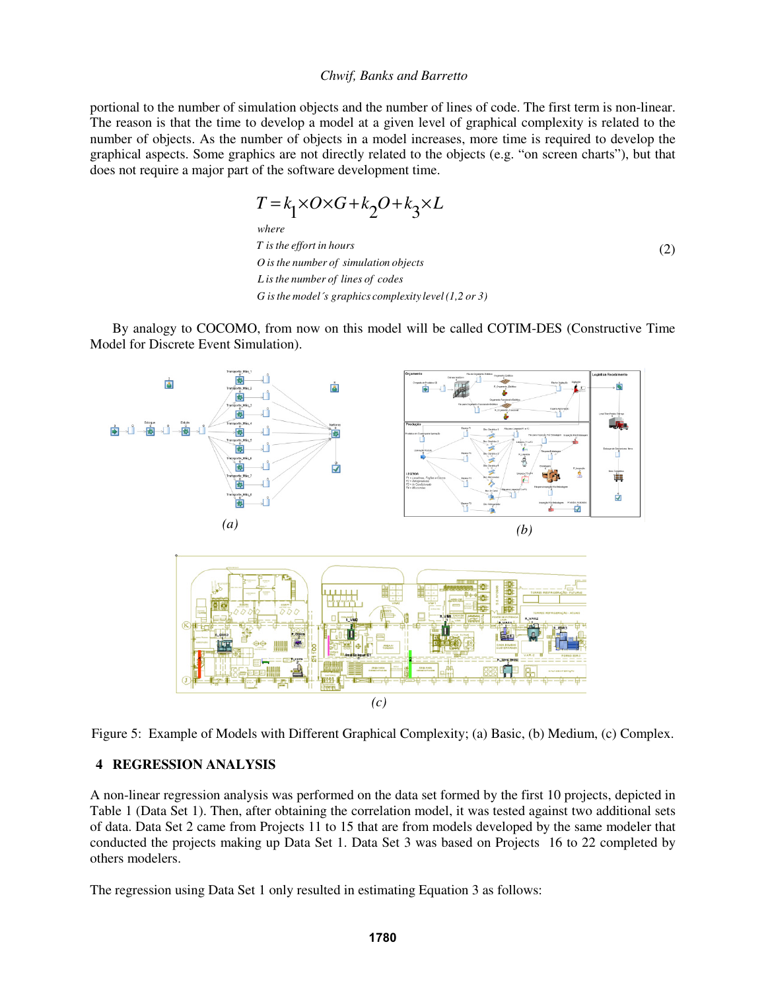portional to the number of simulation objects and the number of lines of code. The first term is non-linear. The reason is that the time to develop a model at a given level of graphical complexity is related to the number of objects. As the number of objects in a model increases, more time is required to develop the graphical aspects. Some graphics are not directly related to the objects (e.g. "on screen charts"), but that does not require a major part of the software development time.

$$
T = k_1 \times O \times G + k_2 O + k_3 \times L
$$
  
\nwhere  
\n*T* is the effort in hours  
\n*O* is the number of simulation objects  
\n*L* is the number of lines of codes  
\n*G* is the model's graphics complexity level (1,2 or 3)

By analogy to COCOMO, from now on this model will be called COTIM-DES (Constructive Time Model for Discrete Event Simulation).



Figure 5: Example of Models with Different Graphical Complexity; (a) Basic, (b) Medium, (c) Complex.

### **4 REGRESSION ANALYSIS**

A non-linear regression analysis was performed on the data set formed by the first 10 projects, depicted in Table 1 (Data Set 1). Then, after obtaining the correlation model, it was tested against two additional sets of data. Data Set 2 came from Projects 11 to 15 that are from models developed by the same modeler that conducted the projects making up Data Set 1. Data Set 3 was based on Projects 16 to 22 completed by others modelers.

The regression using Data Set 1 only resulted in estimating Equation 3 as follows: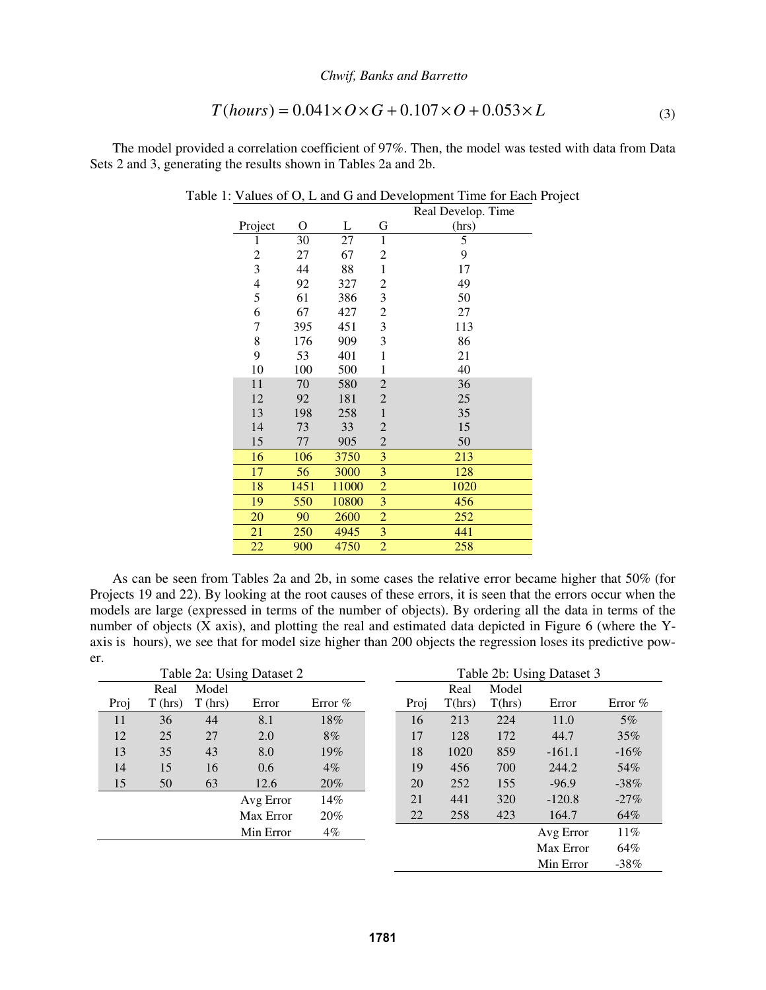$$
T(hours) = 0.041 \times O \times G + 0.107 \times O + 0.053 \times L
$$
\n<sup>(3)</sup>

The model provided a correlation coefficient of 97%. Then, the model was tested with data from Data Sets 2 and 3, generating the results shown in Tables 2a and 2b.

|                         |      |       |                         | Real Develop. Time |
|-------------------------|------|-------|-------------------------|--------------------|
| Project                 | O    | L     | G                       | (hrs)              |
| 1                       | 30   | 27    | $\mathbf{1}$            | 5                  |
| $\overline{\mathbf{c}}$ | 27   | 67    | 2                       | 9                  |
| $\overline{\mathbf{3}}$ | 44   | 88    | $\mathbf{1}$            | 17                 |
| $\overline{4}$          | 92   | 327   | 2                       | 49                 |
| 5                       | 61   | 386   | $\mathfrak{Z}$          | 50                 |
| 6                       | 67   | 427   | 2                       | 27                 |
| 7                       | 395  | 451   | $\mathfrak{Z}$          | 113                |
| 8                       | 176  | 909   | 3                       | 86                 |
| 9                       | 53   | 401   | 1                       | 21                 |
| 10                      | 100  | 500   | 1                       | 40                 |
| 11                      | 70   | 580   | $\overline{2}$          | 36                 |
| 12                      | 92   | 181   | $\overline{c}$          | 25                 |
| 13                      | 198  | 258   | $\mathbf{1}$            | 35                 |
| 14                      | 73   | 33    | $\overline{c}$          | 15                 |
| 15                      | 77   | 905   | $\overline{c}$          | 50                 |
| 16                      | 106  | 3750  | $\overline{3}$          | 213                |
| 17                      | 56   | 3000  | $\overline{3}$          | 128                |
| 18                      | 1451 | 11000 | $\overline{c}$          | 1020               |
| 19                      | 550  | 10800 | $\overline{\mathbf{3}}$ | 456                |
| 20                      | 90   | 2600  | $\overline{c}$          | 252                |
| 21                      | 250  | 4945  | $\overline{\mathbf{3}}$ | 441                |
| 22                      | 900  | 4750  | $\overline{2}$          | 258                |
|                         |      |       |                         |                    |

Table 1: Values of O, L and G and Development Time for Each Project

As can be seen from Tables 2a and 2b, in some cases the relative error became higher that 50% (for Projects 19 and 22). By looking at the root causes of these errors, it is seen that the errors occur when the models are large (expressed in terms of the number of objects). By ordering all the data in terms of the number of objects (X axis), and plotting the real and estimated data depicted in Figure 6 (where the Yaxis is hours), we see that for model size higher than 200 objects the regression loses its predictive power.

| Table 2a: Using Dataset 2 |           |           |           | Table 2b: Using Dataset 3 |      |        |        |           |           |
|---------------------------|-----------|-----------|-----------|---------------------------|------|--------|--------|-----------|-----------|
|                           | Real      | Model     |           |                           |      | Real   | Model  |           |           |
| Proj                      | $T$ (hrs) | $T$ (hrs) | Error     | Error $%$                 | Proj | T(hrs) | T(hrs) | Error     | Error $%$ |
| 11                        | 36        | 44        | 8.1       | 18%                       | 16   | 213    | 224    | 11.0      | $5\%$     |
| 12                        | 25        | 27        | 2.0       | $8\%$                     | 17   | 128    | 172    | 44.7      | 35%       |
| 13                        | 35        | 43        | 8.0       | $19\%$                    | 18   | 1020   | 859    | $-161.1$  | $-16\%$   |
| 14                        | 15        | 16        | 0.6       | $4\%$                     | 19   | 456    | 700    | 244.2     | 54%       |
| 15                        | 50        | 63        | 12.6      | 20%                       | 20   | 252    | 155    | $-96.9$   | $-38%$    |
|                           |           |           | Avg Error | 14%                       | 21   | 441    | 320    | $-120.8$  | $-27%$    |
|                           |           |           | Max Error | 20%                       | 22   | 258    | 423    | 164.7     | 64%       |
|                           |           |           | Min Error | $4\%$                     |      |        |        | Avg Error | 11%       |
|                           |           |           |           |                           |      |        |        | Max Error | 64%       |
|                           |           |           |           |                           |      |        |        | Min Error | $-38%$    |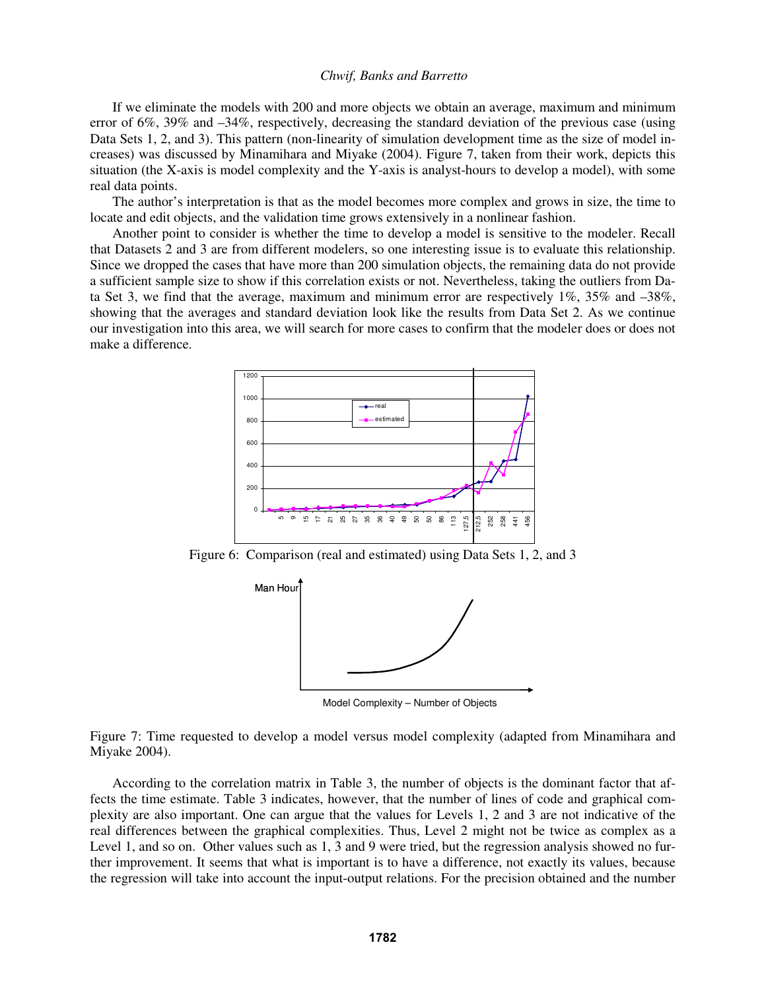If we eliminate the models with 200 and more objects we obtain an average, maximum and minimum error of 6%, 39% and –34%, respectively, decreasing the standard deviation of the previous case (using Data Sets 1, 2, and 3). This pattern (non-linearity of simulation development time as the size of model increases) was discussed by Minamihara and Miyake (2004). Figure 7, taken from their work, depicts this situation (the X-axis is model complexity and the Y-axis is analyst-hours to develop a model), with some real data points.

The author's interpretation is that as the model becomes more complex and grows in size, the time to locate and edit objects, and the validation time grows extensively in a nonlinear fashion.

Another point to consider is whether the time to develop a model is sensitive to the modeler. Recall that Datasets 2 and 3 are from different modelers, so one interesting issue is to evaluate this relationship. Since we dropped the cases that have more than 200 simulation objects, the remaining data do not provide a sufficient sample size to show if this correlation exists or not. Nevertheless, taking the outliers from Data Set 3, we find that the average, maximum and minimum error are respectively  $1\%$ ,  $35\%$  and  $-38\%$ . showing that the averages and standard deviation look like the results from Data Set 2. As we continue our investigation into this area, we will search for more cases to confirm that the modeler does or does not make a difference.



Figure 6: Comparison (real and estimated) using Data Sets 1, 2, and 3



Model Complexity – Number of Objects

Figure 7: Time requested to develop a model versus model complexity (adapted from Minamihara and Miyake 2004).

According to the correlation matrix in Table 3, the number of objects is the dominant factor that affects the time estimate. Table 3 indicates, however, that the number of lines of code and graphical complexity are also important. One can argue that the values for Levels 1, 2 and 3 are not indicative of the real differences between the graphical complexities. Thus, Level 2 might not be twice as complex as a Level 1, and so on. Other values such as 1, 3 and 9 were tried, but the regression analysis showed no further improvement. It seems that what is important is to have a difference, not exactly its values, because the regression will take into account the input-output relations. For the precision obtained and the number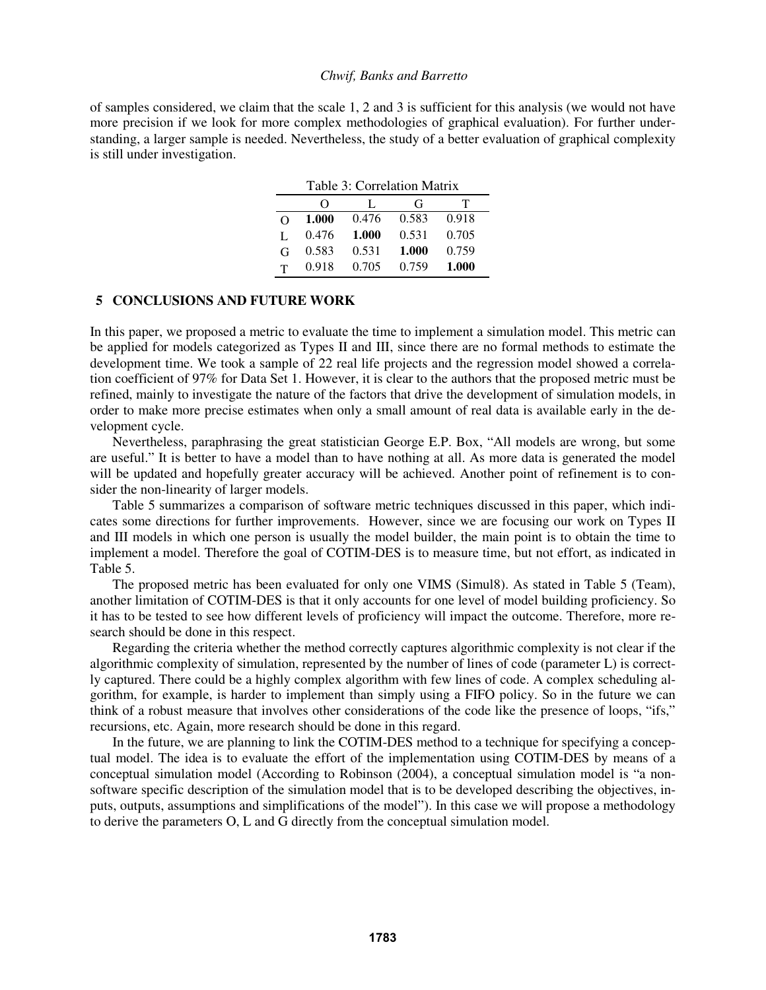of samples considered, we claim that the scale 1, 2 and 3 is sufficient for this analysis (we would not have more precision if we look for more complex methodologies of graphical evaluation). For further understanding, a larger sample is needed. Nevertheless, the study of a better evaluation of graphical complexity is still under investigation.

| Table 3: Correlation Matrix |          |       |       |       |  |  |
|-----------------------------|----------|-------|-------|-------|--|--|
|                             | $\Omega$ | Ι.    | G     | Т     |  |  |
| ∩                           | 1.000    | 0.476 | 0.583 | 0.918 |  |  |
| L                           | 0.476    | 1.000 | 0.531 | 0.705 |  |  |
| G                           | 0.583    | 0.531 | 1.000 | 0.759 |  |  |
| т                           | 0.918    | 0.705 | 0.759 | 1.000 |  |  |

#### **5 CONCLUSIONS AND FUTURE WORK**

In this paper, we proposed a metric to evaluate the time to implement a simulation model. This metric can be applied for models categorized as Types II and III, since there are no formal methods to estimate the development time. We took a sample of 22 real life projects and the regression model showed a correlation coefficient of 97% for Data Set 1. However, it is clear to the authors that the proposed metric must be refined, mainly to investigate the nature of the factors that drive the development of simulation models, in order to make more precise estimates when only a small amount of real data is available early in the development cycle.

Nevertheless, paraphrasing the great statistician George E.P. Box, "All models are wrong, but some are useful." It is better to have a model than to have nothing at all. As more data is generated the model will be updated and hopefully greater accuracy will be achieved. Another point of refinement is to consider the non-linearity of larger models.

 Table 5 summarizes a comparison of software metric techniques discussed in this paper, which indicates some directions for further improvements. However, since we are focusing our work on Types II and III models in which one person is usually the model builder, the main point is to obtain the time to implement a model. Therefore the goal of COTIM-DES is to measure time, but not effort, as indicated in Table 5.

The proposed metric has been evaluated for only one VIMS (Simul8). As stated in Table 5 (Team), another limitation of COTIM-DES is that it only accounts for one level of model building proficiency. So it has to be tested to see how different levels of proficiency will impact the outcome. Therefore, more research should be done in this respect.

Regarding the criteria whether the method correctly captures algorithmic complexity is not clear if the algorithmic complexity of simulation, represented by the number of lines of code (parameter L) is correctly captured. There could be a highly complex algorithm with few lines of code. A complex scheduling algorithm, for example, is harder to implement than simply using a FIFO policy. So in the future we can think of a robust measure that involves other considerations of the code like the presence of loops, "ifs," recursions, etc. Again, more research should be done in this regard.

In the future, we are planning to link the COTIM-DES method to a technique for specifying a conceptual model. The idea is to evaluate the effort of the implementation using COTIM-DES by means of a conceptual simulation model (According to Robinson (2004), a conceptual simulation model is "a nonsoftware specific description of the simulation model that is to be developed describing the objectives, inputs, outputs, assumptions and simplifications of the model"). In this case we will propose a methodology to derive the parameters O, L and G directly from the conceptual simulation model.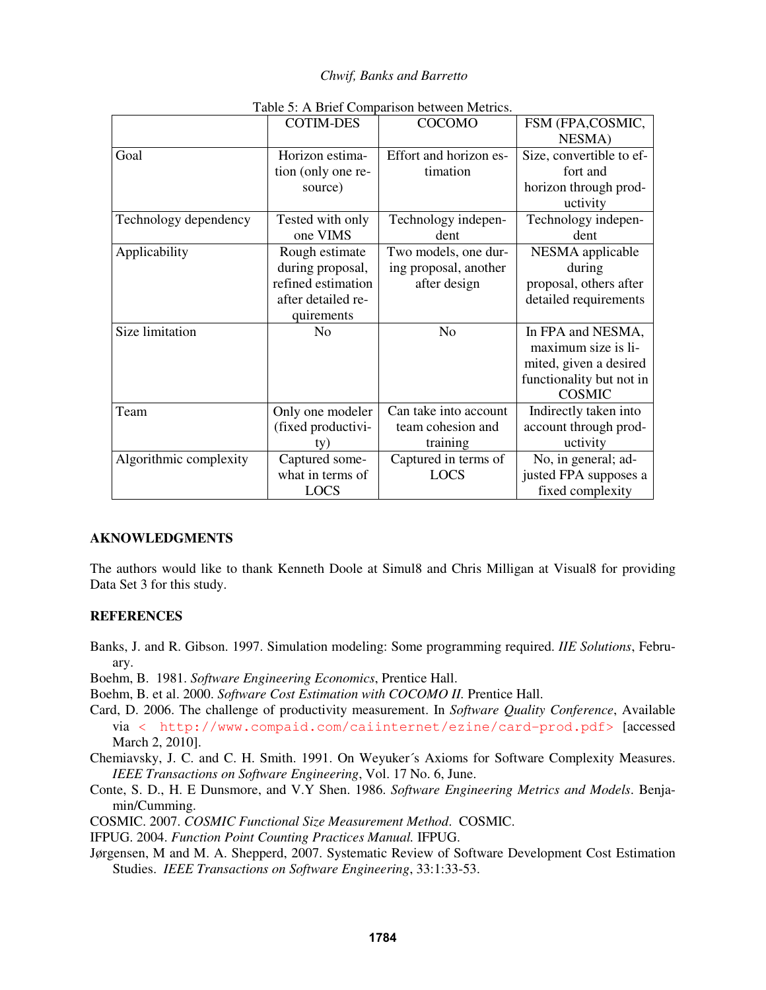|                        | <b>COTIM-DES</b>   | COCOMO                 | FSM (FPA,COSMIC,         |
|------------------------|--------------------|------------------------|--------------------------|
|                        |                    |                        | <b>NESMA</b> )           |
| Goal                   | Horizon estima-    | Effort and horizon es- | Size, convertible to ef- |
|                        | tion (only one re- | timation               | fort and                 |
|                        | source)            |                        | horizon through prod-    |
|                        |                    |                        | uctivity                 |
| Technology dependency  | Tested with only   | Technology indepen-    | Technology indepen-      |
|                        | one VIMS           | dent                   | dent                     |
| Applicability          | Rough estimate     | Two models, one dur-   | NESMA applicable         |
|                        | during proposal,   | ing proposal, another  | during                   |
|                        | refined estimation | after design           | proposal, others after   |
|                        | after detailed re- |                        | detailed requirements    |
|                        | quirements         |                        |                          |
| Size limitation        | N <sub>0</sub>     | N <sub>o</sub>         | In FPA and NESMA,        |
|                        |                    |                        | maximum size is li-      |
|                        |                    |                        | mited, given a desired   |
|                        |                    |                        | functionality but not in |
|                        |                    |                        | <b>COSMIC</b>            |
| Team                   | Only one modeler   | Can take into account  | Indirectly taken into    |
|                        | (fixed productivi- | team cohesion and      | account through prod-    |
|                        |                    | training               | uctivity                 |
| Algorithmic complexity | Captured some-     | Captured in terms of   | No, in general; ad-      |
|                        | what in terms of   | <b>LOCS</b>            | justed FPA supposes a    |
|                        | <b>LOCS</b>        |                        | fixed complexity         |

Table 5: A Brief Comparison between Metrics.

## **AKNOWLEDGMENTS**

The authors would like to thank Kenneth Doole at Simul8 and Chris Milligan at Visual8 for providing Data Set 3 for this study.

### **REFERENCES**

- Banks, J. and R. Gibson. 1997. Simulation modeling: Some programming required. *IIE Solutions*, February.
- Boehm, B. 1981. *Software Engineering Economics*, Prentice Hall.
- Boehm, B. et al. 2000. *Software Cost Estimation with COCOMO II*. Prentice Hall.
- Card, D. 2006. The challenge of productivity measurement. In *Software Quality Conference*, Available via < http://www.compaid.com/caiinternet/ezine/card-prod.pdf> [accessed March 2, 2010].
- Chemiavsky, J. C. and C. H. Smith. 1991. On Weyuker´s Axioms for Software Complexity Measures. *IEEE Transactions on Software Engineering*, Vol. 17 No. 6, June.
- Conte, S. D., H. E Dunsmore, and V.Y Shen. 1986. *Software Engineering Metrics and Models*. Benjamin/Cumming.
- COSMIC. 2007. *COSMIC Functional Size Measurement Method*. COSMIC.
- IFPUG. 2004. *Function Point Counting Practices Manual.* IFPUG.
- Jørgensen, M and M. A. Shepperd, 2007. Systematic Review of Software Development Cost Estimation Studies. *IEEE Transactions on Software Engineering*, 33:1:33-53.